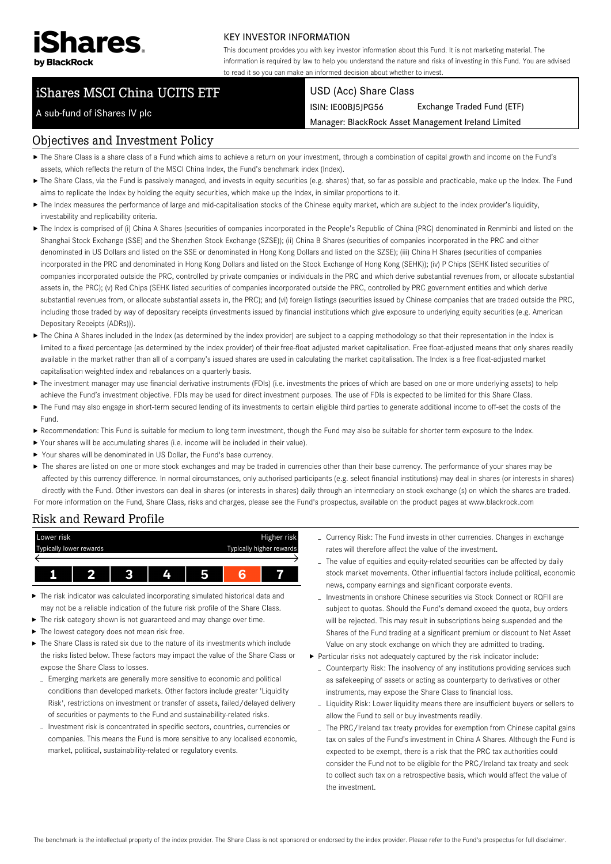

### KEY INVESTOR INFORMATION

This document provides you with key investor information about this Fund. It is not marketing material. The information is required by law to help you understand the nature and risks of investing in this Fund. You are advised to read it so you can make an informed decision about whether to invest.

# iShares MSCI China UCITS ETF

### A sub-fund of iShares IV plc

#### USD (Acc) Share Class

ISIN: IE00BJ5JPG56 Exchange Traded Fund (ETF)

Manager: BlackRock Asset Management Ireland Limited

### Objectives and Investment Policy

- The Share Class is a share class of a Fund which aims to achieve a return on your investment, through a combination of capital growth and income on the Fund's assets, which reflects the return of the MSCI China Index, the Fund's benchmark index (Index).
- ▶ The Share Class, via the Fund is passively managed, and invests in equity securities (e.g. shares) that, so far as possible and practicable, make up the Index. The Fund aims to replicate the Index by holding the equity securities, which make up the Index, in similar proportions to it.
- The Index measures the performance of large and mid-capitalisation stocks of the Chinese equity market, which are subject to the index provider's liquidity, investability and replicability criteria.
- ▶ The Index is comprised of (i) China A Shares (securities of companies incorporated in the People's Republic of China (PRC) denominated in Renminbi and listed on the Shanghai Stock Exchange (SSE) and the Shenzhen Stock Exchange (SZSE)); (ii) China B Shares (securities of companies incorporated in the PRC and either denominated in US Dollars and listed on the SSE or denominated in Hong Kong Dollars and listed on the SZSE); (iii) China H Shares (securities of companies incorporated in the PRC and denominated in Hong Kong Dollars and listed on the Stock Exchange of Hong Kong (SEHK)); (iv) P Chips (SEHK listed securities of companies incorporated outside the PRC, controlled by private companies or individuals in the PRC and which derive substantial revenues from, or allocate substantial assets in, the PRC); (v) Red Chips (SEHK listed securities of companies incorporated outside the PRC, controlled by PRC government entities and which derive substantial revenues from, or allocate substantial assets in, the PRC); and (vi) foreign listings (securities issued by Chinese companies that are traded outside the PRC, including those traded by way of depositary receipts (investments issued by financial institutions which give exposure to underlying equity securities (e.g. American Depositary Receipts (ADRs))).
- ▶ The China A Shares included in the Index (as determined by the index provider) are subject to a capping methodology so that their representation in the Index is limited to a fixed percentage (as determined by the index provider) of their free-float adjusted market capitalisation. Free float-adjusted means that only shares readily available in the market rather than all of a company's issued shares are used in calculating the market capitalisation. The Index is a free float-adjusted market capitalisation weighted index and rebalances on a quarterly basis.
- ▶ The investment manager may use financial derivative instruments (FDIs) (i.e. investments the prices of which are based on one or more underlying assets) to help achieve the Fund's investment objective. FDIs may be used for direct investment purposes. The use of FDIs is expected to be limited for this Share Class.
- The Fund may also engage in short-term secured lending of its investments to certain eligible third parties to generate additional income to off-set the costs of the Fund.
- Recommendation: This Fund is suitable for medium to long term investment, though the Fund may also be suitable for shorter term exposure to the Index.
- Your shares will be accumulating shares (i.e. income will be included in their value).
- Your shares will be denominated in US Dollar, the Fund's base currency.
- ▶ The shares are listed on one or more stock exchanges and may be traded in currencies other than their base currency. The performance of your shares may be affected by this currency difference. In normal circumstances, only authorised participants (e.g. select financial institutions) may deal in shares (or interests in shares) directly with the Fund. Other investors can deal in shares (or interests in shares) daily through an intermediary on stock exchange (s) on which the shares are traded. For more information on the Fund, Share Class, risks and charges, please see the Fund's prospectus, available on the product pages at www.blackrock.com

#### Risk and Reward Profile



- The risk indicator was calculated incorporating simulated historical data and may not be a reliable indication of the future risk profile of the Share Class.
- The risk category shown is not guaranteed and may change over time.
- ▶ The lowest category does not mean risk free.
- $\triangleright$  The Share Class is rated six due to the nature of its investments which include the risks listed below. These factors may impact the value of the Share Class or expose the Share Class to losses.
	- Emerging markets are generally more sensitive to economic and political conditions than developed markets. Other factors include greater 'Liquidity Risk', restrictions on investment or transfer of assets, failed/delayed delivery of securities or payments to the Fund and sustainability-related risks.
	- Investment risk is concentrated in specific sectors, countries, currencies or companies. This means the Fund is more sensitive to any localised economic, market, political, sustainability-related or regulatory events.
- Currency Risk: The Fund invests in other currencies. Changes in exchange rates will therefore affect the value of the investment.
- The value of equities and equity-related securities can be affected by daily stock market movements. Other influential factors include political, economic news, company earnings and significant corporate events.
- Investments in onshore Chinese securities via Stock Connect or RQFII are subject to quotas. Should the Fund's demand exceed the quota, buy orders will be rejected. This may result in subscriptions being suspended and the Shares of the Fund trading at a significant premium or discount to Net Asset Value on any stock exchange on which they are admitted to trading.
- Particular risks not adequately captured by the risk indicator include:
	- Counterparty Risk: The insolvency of any institutions providing services such as safekeeping of assets or acting as counterparty to derivatives or other instruments, may expose the Share Class to financial loss.
	- Liquidity Risk: Lower liquidity means there are insufficient buyers or sellers to allow the Fund to sell or buy investments readily.
	- The PRC/Ireland tax treaty provides for exemption from Chinese capital gains tax on sales of the Fund's investment in China A Shares. Although the Fund is expected to be exempt, there is a risk that the PRC tax authorities could consider the Fund not to be eligible for the PRC/Ireland tax treaty and seek to collect such tax on a retrospective basis, which would affect the value of the investment.